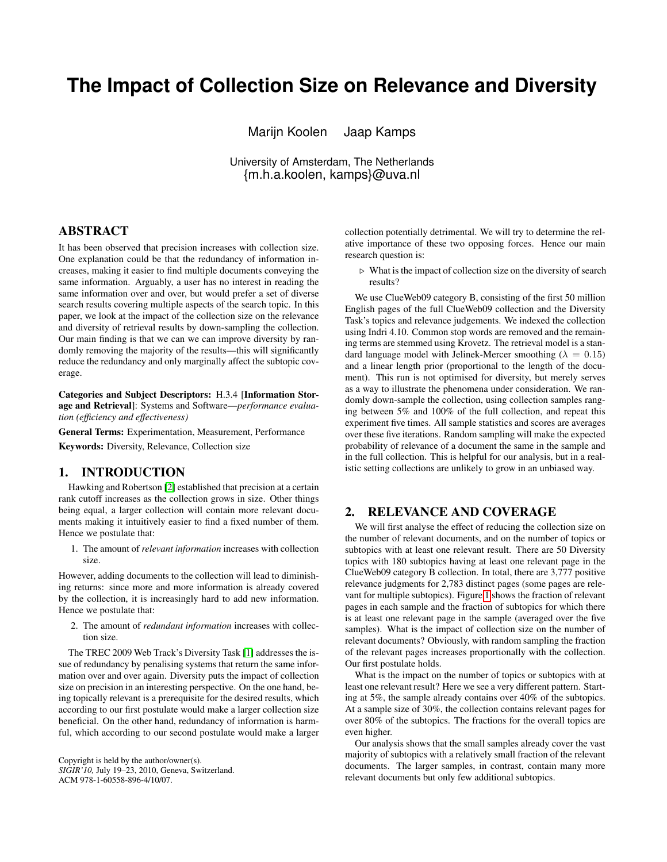# **The Impact of Collection Size on Relevance and Diversity**

Marijn Koolen Jaap Kamps

University of Amsterdam, The Netherlands {m.h.a.koolen, kamps}@uva.nl

# ABSTRACT

It has been observed that precision increases with collection size. One explanation could be that the redundancy of information increases, making it easier to find multiple documents conveying the same information. Arguably, a user has no interest in reading the same information over and over, but would prefer a set of diverse search results covering multiple aspects of the search topic. In this paper, we look at the impact of the collection size on the relevance and diversity of retrieval results by down-sampling the collection. Our main finding is that we can we can improve diversity by randomly removing the majority of the results—this will significantly reduce the redundancy and only marginally affect the subtopic coverage.

Categories and Subject Descriptors: H.3.4 [Information Storage and Retrieval]: Systems and Software—*performance evaluation (efficiency and effectiveness)*

General Terms: Experimentation, Measurement, Performance

Keywords: Diversity, Relevance, Collection size

# 1. INTRODUCTION

Hawking and Robertson [\[2\]](#page-1-0) established that precision at a certain rank cutoff increases as the collection grows in size. Other things being equal, a larger collection will contain more relevant documents making it intuitively easier to find a fixed number of them. Hence we postulate that:

1. The amount of *relevant information* increases with collection size.

However, adding documents to the collection will lead to diminishing returns: since more and more information is already covered by the collection, it is increasingly hard to add new information. Hence we postulate that:

2. The amount of *redundant information* increases with collection size.

The TREC 2009 Web Track's Diversity Task [\[1\]](#page-1-1) addresses the issue of redundancy by penalising systems that return the same information over and over again. Diversity puts the impact of collection size on precision in an interesting perspective. On the one hand, being topically relevant is a prerequisite for the desired results, which according to our first postulate would make a larger collection size beneficial. On the other hand, redundancy of information is harmful, which according to our second postulate would make a larger

Copyright is held by the author/owner(s). *SIGIR'10,* July 19–23, 2010, Geneva, Switzerland. ACM 978-1-60558-896-4/10/07.

collection potentially detrimental. We will try to determine the relative importance of these two opposing forces. Hence our main research question is:

 $\triangleright$  What is the impact of collection size on the diversity of search results?

We use ClueWeb09 category B, consisting of the first 50 million English pages of the full ClueWeb09 collection and the Diversity Task's topics and relevance judgements. We indexed the collection using Indri 4.10. Common stop words are removed and the remaining terms are stemmed using Krovetz. The retrieval model is a standard language model with Jelinek-Mercer smoothing ( $\lambda = 0.15$ ) and a linear length prior (proportional to the length of the document). This run is not optimised for diversity, but merely serves as a way to illustrate the phenomena under consideration. We randomly down-sample the collection, using collection samples ranging between 5% and 100% of the full collection, and repeat this experiment five times. All sample statistics and scores are averages over these five iterations. Random sampling will make the expected probability of relevance of a document the same in the sample and in the full collection. This is helpful for our analysis, but in a realistic setting collections are unlikely to grow in an unbiased way.

## 2. RELEVANCE AND COVERAGE

We will first analyse the effect of reducing the collection size on the number of relevant documents, and on the number of topics or subtopics with at least one relevant result. There are 50 Diversity topics with 180 subtopics having at least one relevant page in the ClueWeb09 category B collection. In total, there are 3,777 positive relevance judgments for 2,783 distinct pages (some pages are relevant for multiple subtopics). Figure [1](#page-1-2) shows the fraction of relevant pages in each sample and the fraction of subtopics for which there is at least one relevant page in the sample (averaged over the five samples). What is the impact of collection size on the number of relevant documents? Obviously, with random sampling the fraction of the relevant pages increases proportionally with the collection. Our first postulate holds.

What is the impact on the number of topics or subtopics with at least one relevant result? Here we see a very different pattern. Starting at 5%, the sample already contains over 40% of the subtopics. At a sample size of 30%, the collection contains relevant pages for over 80% of the subtopics. The fractions for the overall topics are even higher.

Our analysis shows that the small samples already cover the vast majority of subtopics with a relatively small fraction of the relevant documents. The larger samples, in contrast, contain many more relevant documents but only few additional subtopics.